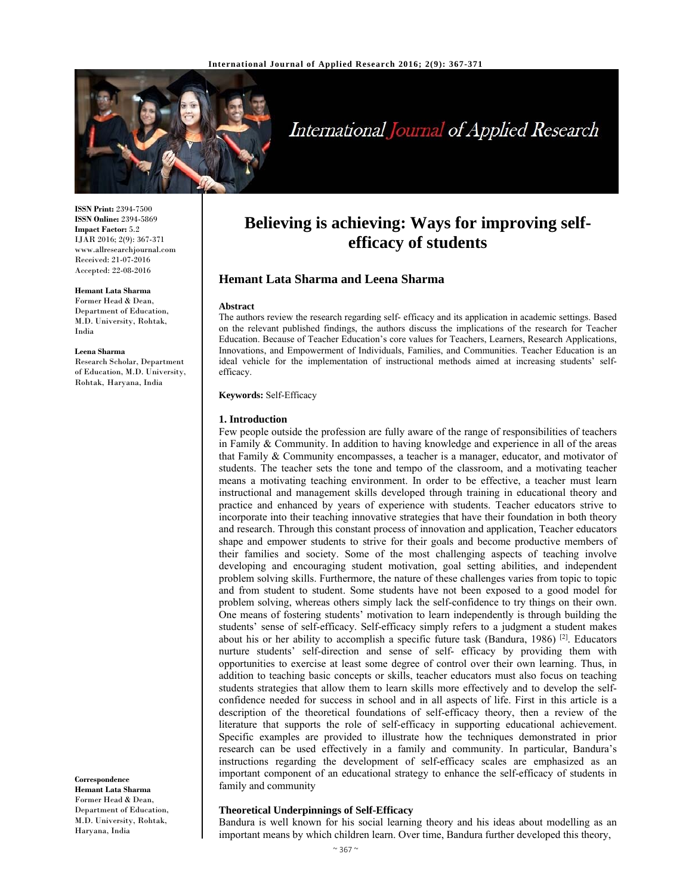

# International Journal of Applied Research

**ISSN Print:** 2394-7500 **ISSN Online:** 2394-5869 **Impact Factor:** 5.2 IJAR 2016; 2(9): 367-371 www.allresearchjournal.com Received: 21-07-2016 Accepted: 22-08-2016

#### **Hemant Lata Sharma**

Former Head & Dean, Department of Education, M.D. University, Rohtak, India

**Leena Sharma** 

Research Scholar, Department of Education, M.D. University, Rohtak, Haryana, India

#### **Correspondence**

**Hemant Lata Sharma**  Former Head & Dean, Department of Education, M.D. University, Rohtak, Haryana, India

# **Believing is achieving: Ways for improving selfefficacy of students**

# **Hemant Lata Sharma and Leena Sharma**

#### **Abstract**

The authors review the research regarding self- efficacy and its application in academic settings. Based on the relevant published findings, the authors discuss the implications of the research for Teacher Education. Because of Teacher Education's core values for Teachers, Learners, Research Applications, Innovations, and Empowerment of Individuals, Families, and Communities. Teacher Education is an ideal vehicle for the implementation of instructional methods aimed at increasing students' selfefficacy.

#### **Keywords:** Self-Efficacy

#### **1. Introduction**

Few people outside the profession are fully aware of the range of responsibilities of teachers in Family & Community. In addition to having knowledge and experience in all of the areas that Family & Community encompasses, a teacher is a manager, educator, and motivator of students. The teacher sets the tone and tempo of the classroom, and a motivating teacher means a motivating teaching environment. In order to be effective, a teacher must learn instructional and management skills developed through training in educational theory and practice and enhanced by years of experience with students. Teacher educators strive to incorporate into their teaching innovative strategies that have their foundation in both theory and research. Through this constant process of innovation and application, Teacher educators shape and empower students to strive for their goals and become productive members of their families and society. Some of the most challenging aspects of teaching involve developing and encouraging student motivation, goal setting abilities, and independent problem solving skills. Furthermore, the nature of these challenges varies from topic to topic and from student to student. Some students have not been exposed to a good model for problem solving, whereas others simply lack the self-confidence to try things on their own. One means of fostering students' motivation to learn independently is through building the students' sense of self-efficacy. Self-efficacy simply refers to a judgment a student makes about his or her ability to accomplish a specific future task (Bandura, 1986)<sup>[2]</sup>. Educators nurture students' self-direction and sense of self- efficacy by providing them with opportunities to exercise at least some degree of control over their own learning. Thus, in addition to teaching basic concepts or skills, teacher educators must also focus on teaching students strategies that allow them to learn skills more effectively and to develop the selfconfidence needed for success in school and in all aspects of life. First in this article is a description of the theoretical foundations of self-efficacy theory, then a review of the literature that supports the role of self-efficacy in supporting educational achievement. Specific examples are provided to illustrate how the techniques demonstrated in prior research can be used effectively in a family and community. In particular, Bandura's instructions regarding the development of self-efficacy scales are emphasized as an important component of an educational strategy to enhance the self-efficacy of students in family and community

#### **Theoretical Underpinnings of Self-Efficacy**

Bandura is well known for his social learning theory and his ideas about modelling as an important means by which children learn. Over time, Bandura further developed this theory,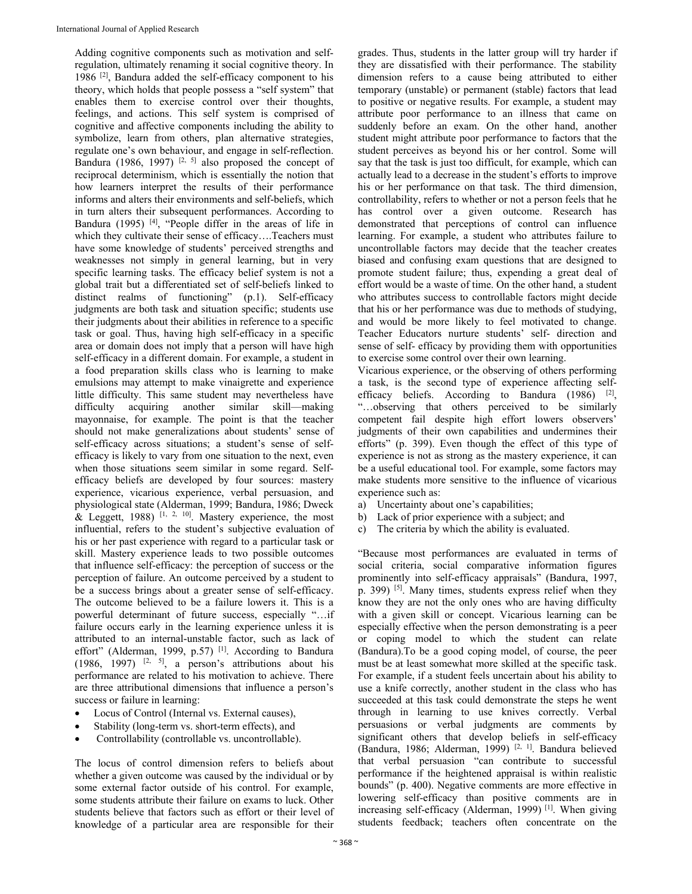Adding cognitive components such as motivation and selfregulation, ultimately renaming it social cognitive theory. In 1986 [2], Bandura added the self-efficacy component to his theory, which holds that people possess a "self system" that enables them to exercise control over their thoughts, feelings, and actions. This self system is comprised of cognitive and affective components including the ability to symbolize, learn from others, plan alternative strategies, regulate one's own behaviour, and engage in self-reflection. Bandura (1986, 1997) <sup>[2, 5]</sup> also proposed the concept of reciprocal determinism, which is essentially the notion that how learners interpret the results of their performance informs and alters their environments and self-beliefs, which in turn alters their subsequent performances. According to Bandura (1995)<sup>[4]</sup>, "People differ in the areas of life in which they cultivate their sense of efficacy….Teachers must have some knowledge of students' perceived strengths and weaknesses not simply in general learning, but in very specific learning tasks. The efficacy belief system is not a global trait but a differentiated set of self-beliefs linked to distinct realms of functioning" (p.1). Self-efficacy judgments are both task and situation specific; students use their judgments about their abilities in reference to a specific task or goal. Thus, having high self-efficacy in a specific area or domain does not imply that a person will have high self-efficacy in a different domain. For example, a student in a food preparation skills class who is learning to make emulsions may attempt to make vinaigrette and experience little difficulty. This same student may nevertheless have difficulty acquiring another similar skill—making mayonnaise, for example. The point is that the teacher should not make generalizations about students' sense of self-efficacy across situations; a student's sense of selfefficacy is likely to vary from one situation to the next, even when those situations seem similar in some regard. Selfefficacy beliefs are developed by four sources: mastery experience, vicarious experience, verbal persuasion, and physiological state (Alderman, 1999; Bandura, 1986; Dweck  $\&$  Leggett, 1988) [1, 2, 10]. Mastery experience, the most influential, refers to the student's subjective evaluation of his or her past experience with regard to a particular task or skill. Mastery experience leads to two possible outcomes that influence self-efficacy: the perception of success or the perception of failure. An outcome perceived by a student to be a success brings about a greater sense of self-efficacy. The outcome believed to be a failure lowers it. This is a powerful determinant of future success, especially "…if failure occurs early in the learning experience unless it is attributed to an internal-unstable factor, such as lack of effort" (Alderman, 1999, p.57)<sup>[1]</sup>. According to Bandura  $(1986, 1997)$  <sup>[2, 5]</sup>, a person's attributions about his performance are related to his motivation to achieve. There are three attributional dimensions that influence a person's success or failure in learning:

- Locus of Control (Internal vs. External causes),
- Stability (long-term vs. short-term effects), and
- Controllability (controllable vs. uncontrollable).

The locus of control dimension refers to beliefs about whether a given outcome was caused by the individual or by some external factor outside of his control. For example, some students attribute their failure on exams to luck. Other students believe that factors such as effort or their level of knowledge of a particular area are responsible for their

grades. Thus, students in the latter group will try harder if they are dissatisfied with their performance. The stability dimension refers to a cause being attributed to either temporary (unstable) or permanent (stable) factors that lead to positive or negative results. For example, a student may attribute poor performance to an illness that came on suddenly before an exam. On the other hand, another student might attribute poor performance to factors that the student perceives as beyond his or her control. Some will say that the task is just too difficult, for example, which can actually lead to a decrease in the student's efforts to improve his or her performance on that task. The third dimension, controllability, refers to whether or not a person feels that he has control over a given outcome. Research has demonstrated that perceptions of control can influence learning. For example, a student who attributes failure to uncontrollable factors may decide that the teacher creates biased and confusing exam questions that are designed to promote student failure; thus, expending a great deal of effort would be a waste of time. On the other hand, a student who attributes success to controllable factors might decide that his or her performance was due to methods of studying, and would be more likely to feel motivated to change. Teacher Educators nurture students' self- direction and sense of self- efficacy by providing them with opportunities to exercise some control over their own learning.

Vicarious experience, or the observing of others performing a task, is the second type of experience affecting selfefficacy beliefs. According to Bandura  $(1986)$  <sup>[2]</sup>, "…observing that others perceived to be similarly competent fail despite high effort lowers observers' judgments of their own capabilities and undermines their efforts" (p. 399). Even though the effect of this type of experience is not as strong as the mastery experience, it can be a useful educational tool. For example, some factors may make students more sensitive to the influence of vicarious experience such as:

- a) Uncertainty about one's capabilities;
- b) Lack of prior experience with a subject; and
- c) The criteria by which the ability is evaluated.

"Because most performances are evaluated in terms of social criteria, social comparative information figures prominently into self-efficacy appraisals" (Bandura, 1997, p. 399) [5]. Many times, students express relief when they know they are not the only ones who are having difficulty with a given skill or concept. Vicarious learning can be especially effective when the person demonstrating is a peer or coping model to which the student can relate (Bandura).To be a good coping model, of course, the peer must be at least somewhat more skilled at the specific task. For example, if a student feels uncertain about his ability to use a knife correctly, another student in the class who has succeeded at this task could demonstrate the steps he went through in learning to use knives correctly. Verbal persuasions or verbal judgments are comments by significant others that develop beliefs in self-efficacy (Bandura, 1986; Alderman, 1999) [2, 1]. Bandura believed that verbal persuasion "can contribute to successful performance if the heightened appraisal is within realistic bounds" (p. 400). Negative comments are more effective in lowering self-efficacy than positive comments are in increasing self-efficacy (Alderman, 1999)<sup>[1]</sup>. When giving students feedback; teachers often concentrate on the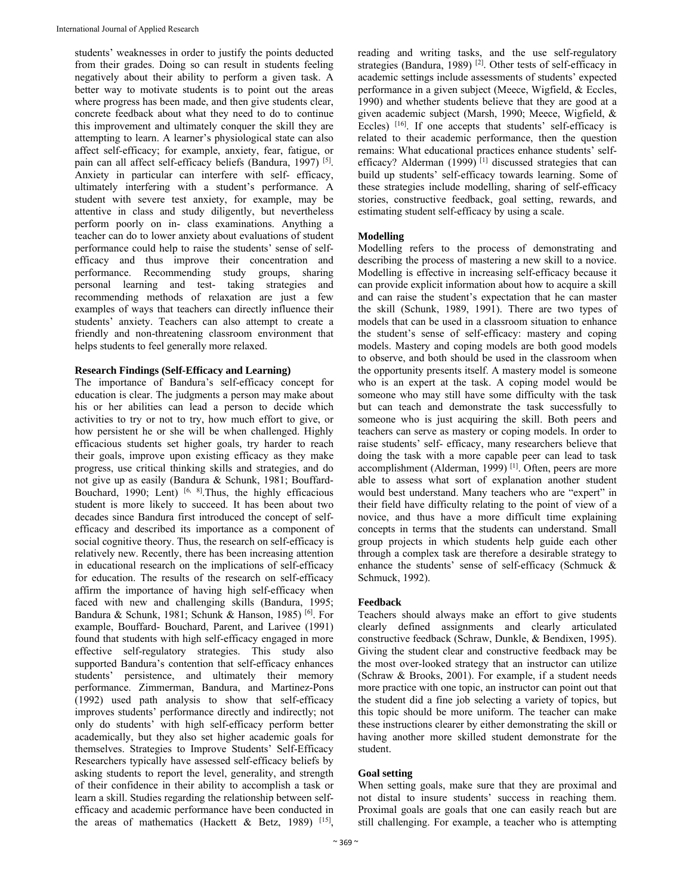students' weaknesses in order to justify the points deducted from their grades. Doing so can result in students feeling negatively about their ability to perform a given task. A better way to motivate students is to point out the areas where progress has been made, and then give students clear, concrete feedback about what they need to do to continue this improvement and ultimately conquer the skill they are attempting to learn. A learner's physiological state can also affect self-efficacy; for example, anxiety, fear, fatigue, or pain can all affect self-efficacy beliefs (Bandura, 1997) [5]. Anxiety in particular can interfere with self- efficacy, ultimately interfering with a student's performance. A student with severe test anxiety, for example, may be attentive in class and study diligently, but nevertheless perform poorly on in- class examinations. Anything a teacher can do to lower anxiety about evaluations of student performance could help to raise the students' sense of selfefficacy and thus improve their concentration and performance. Recommending study groups, sharing personal learning and test- taking strategies and recommending methods of relaxation are just a few examples of ways that teachers can directly influence their students' anxiety. Teachers can also attempt to create a friendly and non-threatening classroom environment that helps students to feel generally more relaxed.

# **Research Findings (Self-Efficacy and Learning)**

The importance of Bandura's self-efficacy concept for education is clear. The judgments a person may make about his or her abilities can lead a person to decide which activities to try or not to try, how much effort to give, or how persistent he or she will be when challenged. Highly efficacious students set higher goals, try harder to reach their goals, improve upon existing efficacy as they make progress, use critical thinking skills and strategies, and do not give up as easily (Bandura & Schunk, 1981; Bouffard-Bouchard, 1990; Lent)  $[6, 8]$ . Thus, the highly efficacious student is more likely to succeed. It has been about two decades since Bandura first introduced the concept of selfefficacy and described its importance as a component of social cognitive theory. Thus, the research on self-efficacy is relatively new. Recently, there has been increasing attention in educational research on the implications of self-efficacy for education. The results of the research on self-efficacy affirm the importance of having high self-efficacy when faced with new and challenging skills (Bandura, 1995; Bandura & Schunk, 1981; Schunk & Hanson, 1985) [6]. For example, Bouffard- Bouchard, Parent, and Larivee (1991) found that students with high self-efficacy engaged in more effective self-regulatory strategies. This study also supported Bandura's contention that self-efficacy enhances students' persistence, and ultimately their memory performance. Zimmerman, Bandura, and Martinez-Pons (1992) used path analysis to show that self-efficacy improves students' performance directly and indirectly; not only do students' with high self-efficacy perform better academically, but they also set higher academic goals for themselves. Strategies to Improve Students' Self-Efficacy Researchers typically have assessed self-efficacy beliefs by asking students to report the level, generality, and strength of their confidence in their ability to accomplish a task or learn a skill. Studies regarding the relationship between selfefficacy and academic performance have been conducted in the areas of mathematics (Hackett & Betz, 1989)  $[15]$ ,

reading and writing tasks, and the use self-regulatory strategies (Bandura, 1989)<sup>[2]</sup>. Other tests of self-efficacy in academic settings include assessments of students' expected performance in a given subject (Meece, Wigfield, & Eccles, 1990) and whether students believe that they are good at a given academic subject (Marsh, 1990; Meece, Wigfield, & Eccles) <sup>[16]</sup>. If one accepts that students' self-efficacy is related to their academic performance, then the question remains: What educational practices enhance students' selfefficacy? Alderman  $(1999)$ <sup>[1]</sup> discussed strategies that can build up students' self-efficacy towards learning. Some of these strategies include modelling, sharing of self-efficacy stories, constructive feedback, goal setting, rewards, and estimating student self-efficacy by using a scale.

# **Modelling**

Modelling refers to the process of demonstrating and describing the process of mastering a new skill to a novice. Modelling is effective in increasing self-efficacy because it can provide explicit information about how to acquire a skill and can raise the student's expectation that he can master the skill (Schunk, 1989, 1991). There are two types of models that can be used in a classroom situation to enhance the student's sense of self-efficacy: mastery and coping models. Mastery and coping models are both good models to observe, and both should be used in the classroom when the opportunity presents itself. A mastery model is someone who is an expert at the task. A coping model would be someone who may still have some difficulty with the task but can teach and demonstrate the task successfully to someone who is just acquiring the skill. Both peers and teachers can serve as mastery or coping models. In order to raise students' self- efficacy, many researchers believe that doing the task with a more capable peer can lead to task accomplishment (Alderman, 1999)<sup>[1]</sup>. Often, peers are more able to assess what sort of explanation another student would best understand. Many teachers who are "expert" in their field have difficulty relating to the point of view of a novice, and thus have a more difficult time explaining concepts in terms that the students can understand. Small group projects in which students help guide each other through a complex task are therefore a desirable strategy to enhance the students' sense of self-efficacy (Schmuck & Schmuck, 1992).

# **Feedback**

Teachers should always make an effort to give students clearly defined assignments and clearly articulated constructive feedback (Schraw, Dunkle, & Bendixen, 1995). Giving the student clear and constructive feedback may be the most over-looked strategy that an instructor can utilize (Schraw & Brooks, 2001). For example, if a student needs more practice with one topic, an instructor can point out that the student did a fine job selecting a variety of topics, but this topic should be more uniform. The teacher can make these instructions clearer by either demonstrating the skill or having another more skilled student demonstrate for the student.

# **Goal setting**

When setting goals, make sure that they are proximal and not distal to insure students' success in reaching them. Proximal goals are goals that one can easily reach but are still challenging. For example, a teacher who is attempting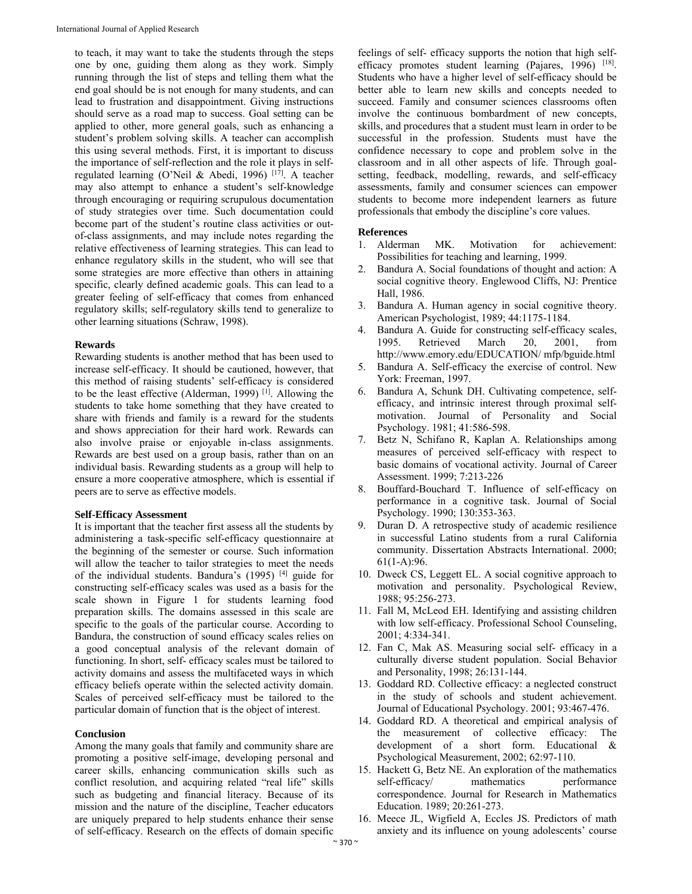to teach, it may want to take the students through the steps one by one, guiding them along as they work. Simply running through the list of steps and telling them what the end goal should be is not enough for many students, and can lead to frustration and disappointment. Giving instructions should serve as a road map to success. Goal setting can be applied to other, more general goals, such as enhancing a student's problem solving skills. A teacher can accomplish this using several methods. First, it is important to discuss the importance of self-reflection and the role it plays in selfregulated learning (O'Neil & Abedi, 1996) <sup>[17]</sup>. A teacher may also attempt to enhance a student's self-knowledge through encouraging or requiring scrupulous documentation of study strategies over time. Such documentation could become part of the student's routine class activities or outof-class assignments, and may include notes regarding the relative effectiveness of learning strategies. This can lead to enhance regulatory skills in the student, who will see that some strategies are more effective than others in attaining specific, clearly defined academic goals. This can lead to a greater feeling of self-efficacy that comes from enhanced regulatory skills; self-regulatory skills tend to generalize to other learning situations (Schraw, 1998).

# **Rewards**

Rewarding students is another method that has been used to increase self-efficacy. It should be cautioned, however, that this method of raising students' self-efficacy is considered to be the least effective (Alderman, 1999) [1]. Allowing the students to take home something that they have created to share with friends and family is a reward for the students and shows appreciation for their hard work. Rewards can also involve praise or enjoyable in-class assignments. Rewards are best used on a group basis, rather than on an individual basis. Rewarding students as a group will help to ensure a more cooperative atmosphere, which is essential if peers are to serve as effective models.

#### **Self-Efficacy Assessment**

It is important that the teacher first assess all the students by administering a task-specific self-efficacy questionnaire at the beginning of the semester or course. Such information will allow the teacher to tailor strategies to meet the needs of the individual students. Bandura's (1995) [4] guide for constructing self-efficacy scales was used as a basis for the scale shown in Figure 1 for students learning food preparation skills. The domains assessed in this scale are specific to the goals of the particular course. According to Bandura, the construction of sound efficacy scales relies on a good conceptual analysis of the relevant domain of functioning. In short, self- efficacy scales must be tailored to activity domains and assess the multifaceted ways in which efficacy beliefs operate within the selected activity domain. Scales of perceived self-efficacy must be tailored to the particular domain of function that is the object of interest.

# **Conclusion**

Among the many goals that family and community share are promoting a positive self-image, developing personal and career skills, enhancing communication skills such as conflict resolution, and acquiring related "real life" skills such as budgeting and financial literacy. Because of its mission and the nature of the discipline, Teacher educators are uniquely prepared to help students enhance their sense of self-efficacy. Research on the effects of domain specific

feelings of self- efficacy supports the notion that high selfefficacy promotes student learning (Pajares, 1996) [18]. Students who have a higher level of self-efficacy should be better able to learn new skills and concepts needed to succeed. Family and consumer sciences classrooms often involve the continuous bombardment of new concepts, skills, and procedures that a student must learn in order to be successful in the profession. Students must have the confidence necessary to cope and problem solve in the classroom and in all other aspects of life. Through goalsetting, feedback, modelling, rewards, and self-efficacy assessments, family and consumer sciences can empower students to become more independent learners as future professionals that embody the discipline's core values.

#### **References**

- 1. Alderman MK. Motivation for achievement: Possibilities for teaching and learning, 1999.
- 2. Bandura A. Social foundations of thought and action: A social cognitive theory. Englewood Cliffs, NJ: Prentice Hall, 1986.
- 3. Bandura A. Human agency in social cognitive theory. American Psychologist, 1989; 44:1175-1184.
- 4. Bandura A. Guide for constructing self-efficacy scales, 1995. Retrieved March 20, 2001, from http://www.emory.edu/EDUCATION/ mfp/bguide.html
- 5. Bandura A. Self-efficacy the exercise of control. New York: Freeman, 1997.
- 6. Bandura A, Schunk DH. Cultivating competence, selfefficacy, and intrinsic interest through proximal selfmotivation. Journal of Personality and Social Psychology. 1981; 41:586-598.
- 7. Betz N, Schifano R, Kaplan A. Relationships among measures of perceived self-efficacy with respect to basic domains of vocational activity. Journal of Career Assessment. 1999; 7:213-226
- 8. Bouffard-Bouchard T. Influence of self-efficacy on performance in a cognitive task. Journal of Social Psychology. 1990; 130:353-363.
- 9. Duran D. A retrospective study of academic resilience in successful Latino students from a rural California community. Dissertation Abstracts International. 2000;  $61(1-A):96.$
- 10. Dweck CS, Leggett EL. A social cognitive approach to motivation and personality. Psychological Review, 1988; 95:256-273.
- 11. Fall M, McLeod EH. Identifying and assisting children with low self-efficacy. Professional School Counseling, 2001; 4:334-341.
- 12. Fan C, Mak AS. Measuring social self- efficacy in a culturally diverse student population. Social Behavior and Personality, 1998; 26:131-144.
- 13. Goddard RD. Collective efficacy: a neglected construct in the study of schools and student achievement. Journal of Educational Psychology. 2001; 93:467-476.
- 14. Goddard RD. A theoretical and empirical analysis of the measurement of collective efficacy: The development of a short form. Educational & Psychological Measurement, 2002; 62:97-110.
- 15. Hackett G, Betz NE. An exploration of the mathematics self-efficacy/ mathematics performance correspondence. Journal for Research in Mathematics Education. 1989; 20:261-273.
- 16. Meece JL, Wigfield A, Eccles JS. Predictors of math anxiety and its influence on young adolescents' course